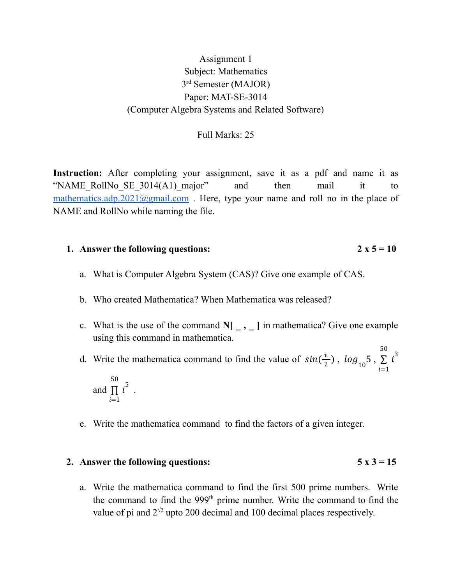# Assignment 1 Subject: Mathematics 3<sup>rd</sup> Semester (MAJOR) Paper: MAT-SE-3014 (Computer Algebra Systems and Related Software)

## Full Marks: 25

**Instruction:** After completing your assignment, save it as a pdf and name it as "NAME\_RollNo\_SE\_3014(A1)\_major" and then mail it to [mathematics.adp.2021@gmail.com](mailto:mathematics.adp.2021@gmail.com). Here, type your name and roll no in the place of NAME and RollNo while naming the file.

## **1. Answer** the following questions:  $2 \times 5 = 10$

- a. What is Computer Algebra System (CAS)? Give one example of CAS.
- b. Who created Mathematica? When Mathematica was released?
- c. What is the use of the command  $N[\_ ,\_ ]$  in mathematica? Give one example using this command in mathematica.

d. Write the mathematica command to find the value of  $sin(\frac{\pi}{2})$ ,  $log_{10} 5$ ,  $\frac{\pi}{2}$ ),  $log_{10} 5$  $i=1$ 50  $\sum i^3$ 50

and  $\prod i^3$ .  $i=1$  $\prod_{i=1}^{n}$ 

e. Write the mathematica command to find the factors of a given integer.

#### **2. Answer** the following questions:  $5 \times 3 = 15$

a. Write the mathematica command to find the first 500 prime numbers. Write the command to find the 999<sup>th</sup> prime number. Write the command to find the value of pi and  $2^{\sqrt{2}}$  upto 200 decimal and 100 decimal places respectively.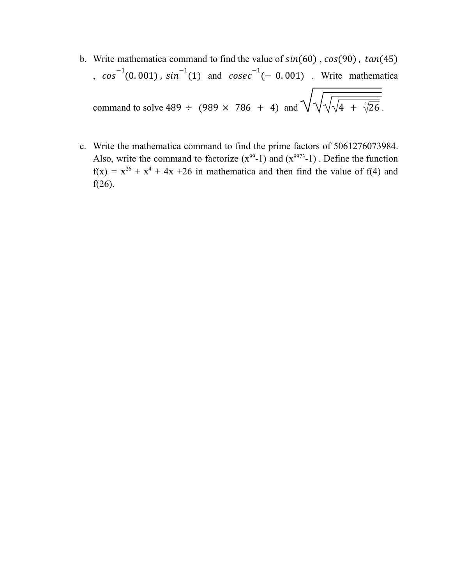- b. Write mathematica command to find the value of  $sin(60)$ ,  $cos(90)$ ,  $tan(45)$  $\int_{\alpha}$  cos<sup>-1</sup>(0.001), sin<sup>-1</sup>(1) and cosec<sup>-1</sup>(-0.001). Write mathematica command to solve 489  $\div$  (989  $\times$  786 + 4) and  $\sqrt{\sqrt[4]{\sqrt{4}} + \sqrt[4]{26}}$ .
- c. Write the mathematica command to find the prime factors of 5061276073984. Also, write the command to factorize  $(x^{99}-1)$  and  $(x^{9973}-1)$ . Define the function  $f(x) = x^{26} + x^4 + 4x + 26$  in mathematica and then find the value of f(4) and f(26).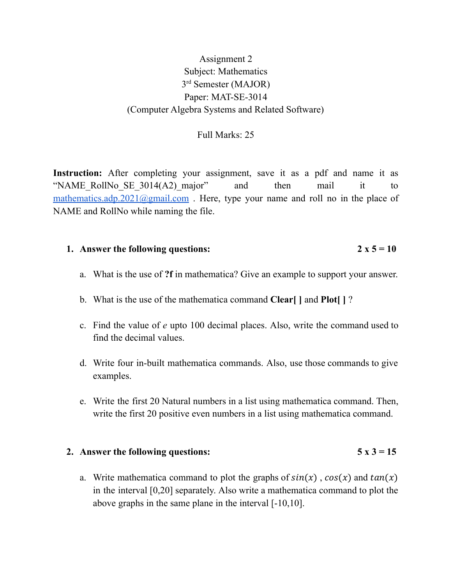# Assignment 2 Subject: Mathematics 3<sup>rd</sup> Semester (MAJOR) Paper: MAT-SE-3014 (Computer Algebra Systems and Related Software)

## Full Marks: 25

Instruction: After completing your assignment, save it as a pdf and name it as "NAME\_RollNo\_SE\_3014(A2)\_major" and then mail it to [mathematics.adp.2021@gmail.com](mailto:mathematics.adp.2021@gmail.com). Here, type your name and roll no in the place of NAME and RollNo while naming the file.

## **1. Answer** the following questions:  $2 \times 5 = 10$

- a. What is the use of **?f** in mathematica? Give an example to support your answer.
- b. What is the use of the mathematica command **Clear[ ]** and **Plot[ ]** ?
- c. Find the value of *e* upto 100 decimal places. Also, write the command used to find the decimal values.
- d. Write four in-built mathematica commands. Also, use those commands to give examples.
- e. Write the first 20 Natural numbers in a list using mathematica command. Then, write the first 20 positive even numbers in a list using mathematica command.

#### **2. Answer** the following questions:  $5 \times 3 = 15$

a. Write mathematica command to plot the graphs of  $sin(x)$ ,  $cos(x)$  and  $tan(x)$ in the interval [0,20] separately. Also write a mathematica command to plot the above graphs in the same plane in the interval [-10,10].